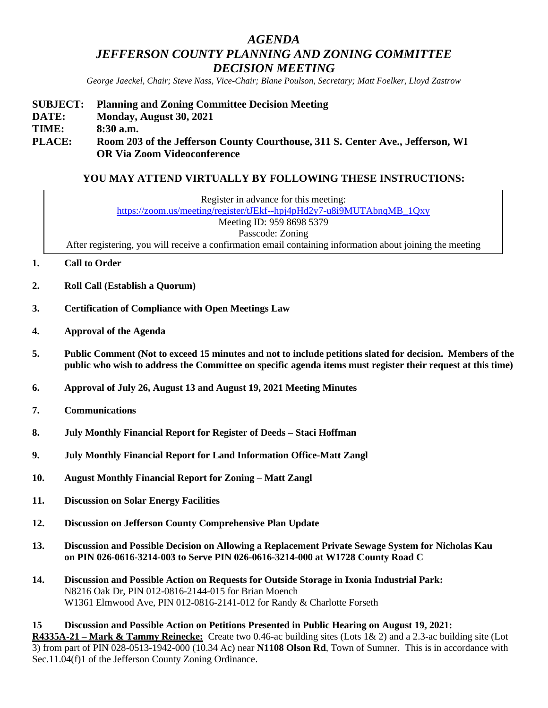# *AGENDA JEFFERSON COUNTY PLANNING AND ZONING COMMITTEE DECISION MEETING*

*George Jaeckel, Chair; Steve Nass, Vice-Chair; Blane Poulson, Secretary; Matt Foelker, Lloyd Zastrow*

## **SUBJECT: Planning and Zoning Committee Decision Meeting DATE: Monday, August 30, 2021 TIME: 8:30 a.m. PLACE: Room 203 of the Jefferson County Courthouse, 311 S. Center Ave., Jefferson, WI OR Via Zoom Videoconference**

# **YOU MAY ATTEND VIRTUALLY BY FOLLOWING THESE INSTRUCTIONS:**

- **1. Call to Order**
- **2. Roll Call (Establish a Quorum)**
- **3. Certification of Compliance with Open Meetings Law**
- **4. Approval of the Agenda**
- **5. Public Comment (Not to exceed 15 minutes and not to include petitions slated for decision. Members of the public who wish to address the Committee on specific agenda items must register their request at this time)**
- **6. Approval of July 26, August 13 and August 19, 2021 Meeting Minutes**
- **7. Communications**
- **8. July Monthly Financial Report for Register of Deeds – Staci Hoffman**
- **9. July Monthly Financial Report for Land Information Office-Matt Zangl**
- **10. August Monthly Financial Report for Zoning – Matt Zangl**
- **11. Discussion on Solar Energy Facilities**
- **12. Discussion on Jefferson County Comprehensive Plan Update**
- **13. Discussion and Possible Decision on Allowing a Replacement Private Sewage System for Nicholas Kau on PIN 026-0616-3214-003 to Serve PIN 026-0616-3214-000 at W1728 County Road C**
- **14. Discussion and Possible Action on Requests for Outside Storage in Ixonia Industrial Park:** N8216 Oak Dr, PIN 012-0816-2144-015 for Brian Moench W1361 Elmwood Ave, PIN 012-0816-2141-012 for Randy & Charlotte Forseth

**15 Discussion and Possible Action on Petitions Presented in Public Hearing on August 19, 2021: R4335A-21 – Mark & Tammy Reinecke:** Create two 0.46-ac building sites (Lots 1& 2) and a 2.3-ac building site (Lot 3) from part of PIN 028-0513-1942-000 (10.34 Ac) near **N1108 Olson Rd**, Town of Sumner. This is in accordance with Sec.11.04(f)1 of the Jefferson County Zoning Ordinance.